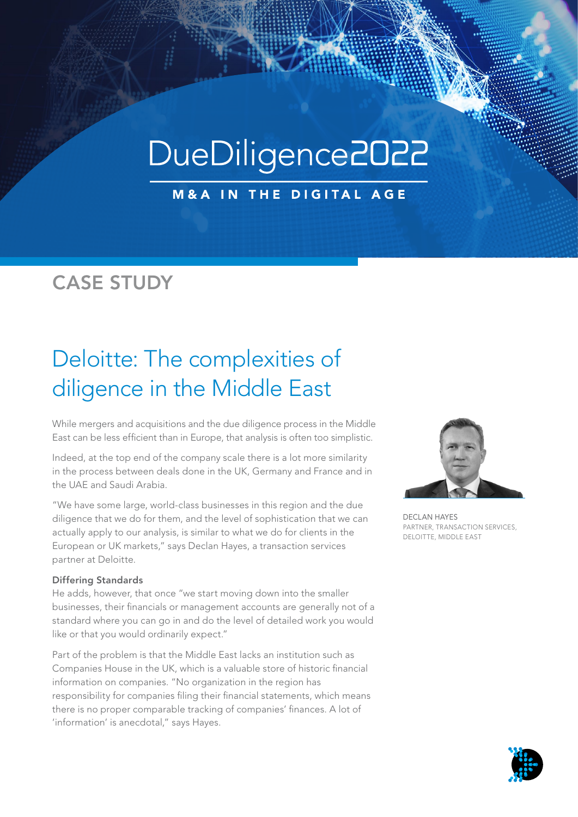# DueDiligence2022

**M&A IN THE DIGITAL AGE** 

### CASE STUDY

## Deloitte: The complexities of diligence in the Middle East

While mergers and acquisitions and the due diligence process in the Middle East can be less efficient than in Europe, that analysis is often too simplistic.

Indeed, at the top end of the company scale there is a lot more similarity in the process between deals done in the UK, Germany and France and in the UAE and Saudi Arabia.

"We have some large, world-class businesses in this region and the due diligence that we do for them, and the level of sophistication that we can actually apply to our analysis, is similar to what we do for clients in the European or UK markets," says Declan Hayes, a transaction services partner at Deloitte.

#### Differing Standards

He adds, however, that once "we start moving down into the smaller businesses, their financials or management accounts are generally not of a standard where you can go in and do the level of detailed work you would like or that you would ordinarily expect."

Part of the problem is that the Middle East lacks an institution such as Companies House in the UK, which is a valuable store of historic financial information on companies. "No organization in the region has responsibility for companies filing their financial statements, which means there is no proper comparable tracking of companies' finances. A lot of 'information' is anecdotal," says Hayes.



DECLAN HAYES PARTNER, TRANSACTION SERVICES, DELOITTE, MIDDLE EAST